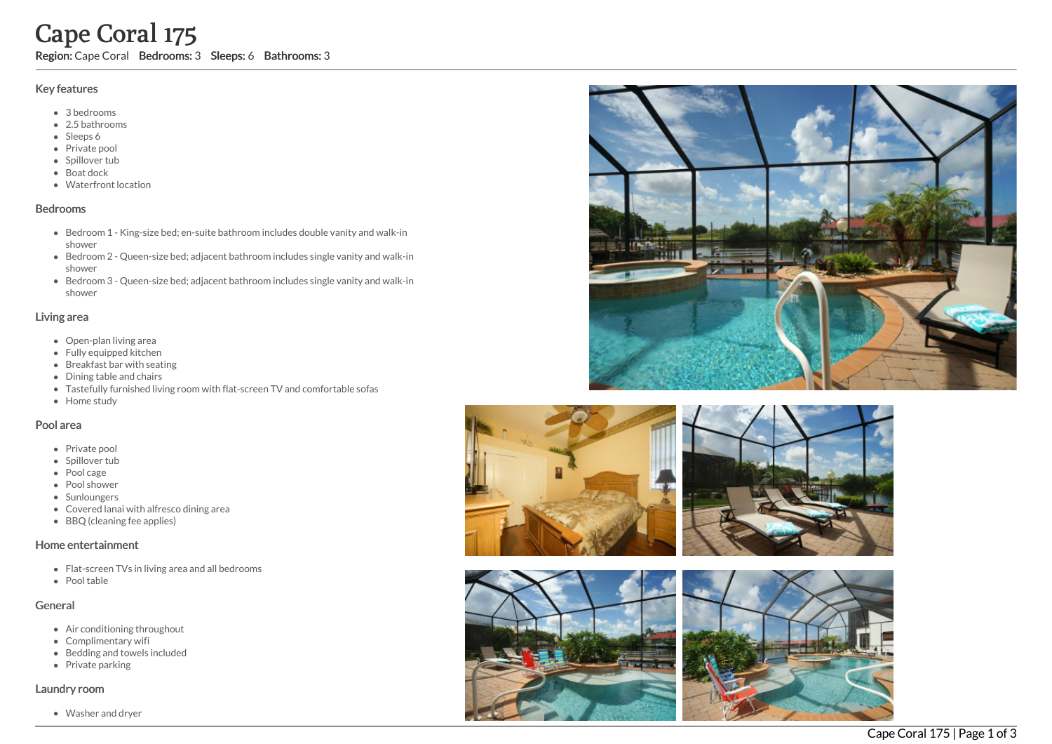# Cape Coral 175

Region: Cape Coral Bedrooms: 3 Sleeps: 6 Bathrooms: 3

## Key features

- 3 b e d r o o m s
- 2.5 b a t h r o o m s
- Sleeps 6
- Private pool
- Spillover tub
- Boat dock
- Waterfront location

#### **Bedrooms**

- Bedroom 1 King-size bed; en-suite bathroom includes double vanity and walk-in s h o w e r
- Bedroom 2 Queen-size bed; adjacent bathroom includes single vanity and walk-in s h o w e r
- Bedroom 3 Queen-size bed; adjacent bathroom includes single vanity and walk-in s h o w e r

## Living area

- Open-plan living area
- Fully equipped kitchen
- Breakfast bar with seating
- Dining table and chairs
- Tastefully furnished living room with flat-screen TV and comfortable sofas
- Home study

## Pool area

- Private pool
- Spillover tub
- Pool cage
- Pool shower
- Sunloungers
- Covered lanai with alfresco dining area
- BBQ (cleaning fee applies)

## Home entertainment

- Flat-screen TVs in living area and all bedrooms
- Pool table

# General

- Air conditioning throughout
- Complimentary wifi
- Bedding and towels in clu d e d
- Private parking

## Laundry room

Washer and dryer









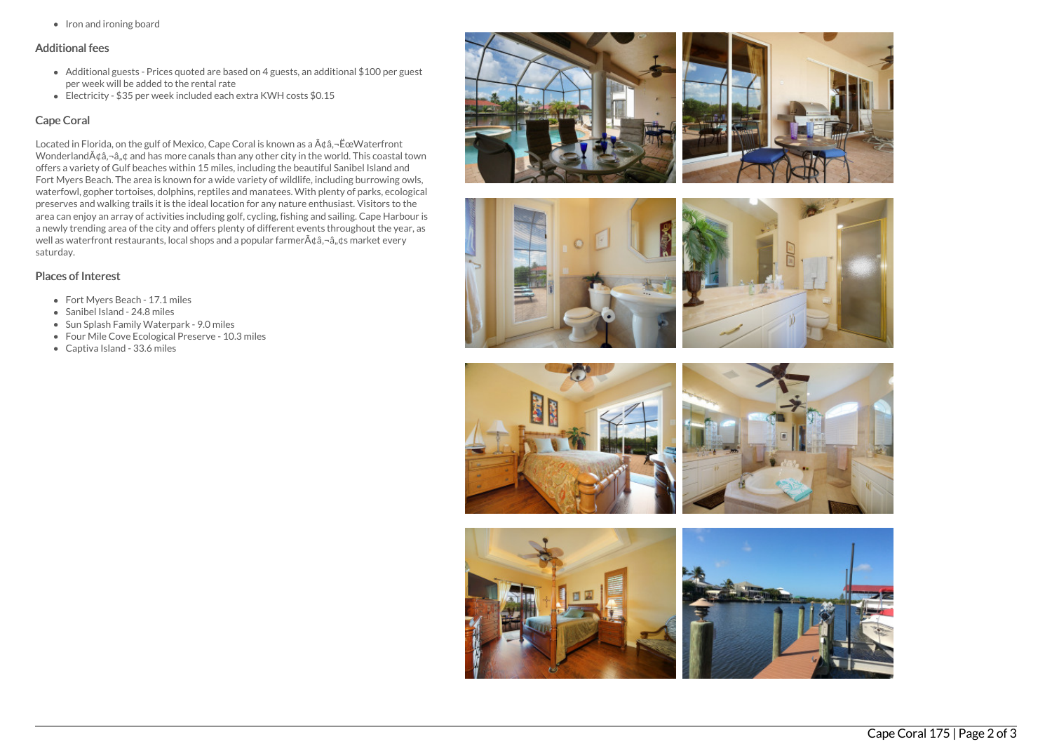• Iron and ironing board

## Additional fees

- Additional guests Prices quoted are based on 4 guests, an additional \$100 per guest per week will be added to the rental rate
- Electricity \$35 per week included each extra KWH costs \$0.15

## Cape Coral

Located in Florida, on the gulf of Mexico, Cape Coral is known as a  $A\phi$ a, $\neg$ ËœWaterfront Wonderland $\tilde{A}$ ¢â, $\neg$ â, $\notin$  and has more canals than any other city in the world. This coastal town offers a variety of Gulf beaches within 15 miles, including the beautiful Sanibel Island and Fort Myers Beach. The area is known for a wide variety of wildlife, including burrowing owls, waterfowl, gopher tortoises, dolphins, reptiles and manatees. With plenty of parks, ecological preserves and walking trails it is the ideal location for any nature enthusiast. Visitors to the area can enjoy an array of activities including golf, cycling, fishing and sailing. Cape Harbour is a newly trending area of the city and offers plenty of different events throughout the year, as well as waterfront restaurants, local shops and a popular farmer $A\hat{\alpha}$ ,  $\hat{\alpha}$ ,  $\hat{\alpha}$ ,  $\hat{\alpha}$  market every saturday.

## Places of Interest

- Fort Myers Beach 17.1 miles
- Sanibel Island 24.8 miles
- Sun Splash Family Waterpark 9.0 miles
- Four Mile Cove Ecological Preserve 10.3 miles
- Captiva Island 33.6 miles